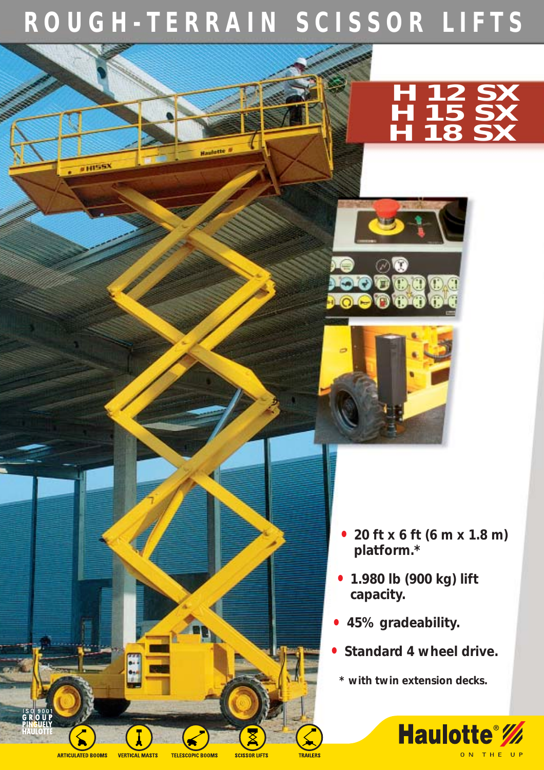## **ROUGH-TERRAIN SCISSOR LIFTS**





- **20 ft x 6 ft (6 m x 1.8 m) platform.\***
- **1.980 lb (900 kg) lift capacity.**
- **45% gradeability.**
- **Standard 4 wheel drive.**
- **\* with twin extension decks.**



11155)

**TELESCOPIC BOOMS** 

**SCISSOR LIFTS** TRAILERS